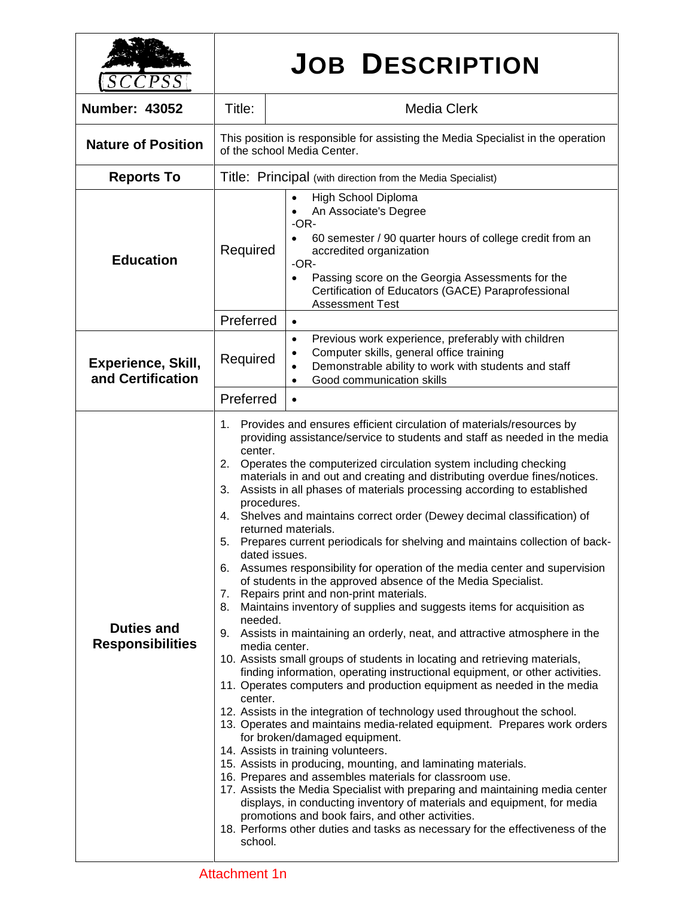| $\mathcal{L}PSS$                               | <b>JOB DESCRIPTION</b>                                                                                          |                                                                                                                                                                                                                                                                                                                                                                                                                                                                                                                                                                                                                                                                                                                                                                                                                                                                                                                                                                                                                                                                                                                                                                                                                                                                                                                                                                                                                                                                                                                                                                                                                                                                                                                                                                                                                                                                      |  |  |
|------------------------------------------------|-----------------------------------------------------------------------------------------------------------------|----------------------------------------------------------------------------------------------------------------------------------------------------------------------------------------------------------------------------------------------------------------------------------------------------------------------------------------------------------------------------------------------------------------------------------------------------------------------------------------------------------------------------------------------------------------------------------------------------------------------------------------------------------------------------------------------------------------------------------------------------------------------------------------------------------------------------------------------------------------------------------------------------------------------------------------------------------------------------------------------------------------------------------------------------------------------------------------------------------------------------------------------------------------------------------------------------------------------------------------------------------------------------------------------------------------------------------------------------------------------------------------------------------------------------------------------------------------------------------------------------------------------------------------------------------------------------------------------------------------------------------------------------------------------------------------------------------------------------------------------------------------------------------------------------------------------------------------------------------------------|--|--|
| <b>Number: 43052</b>                           | Title:<br><b>Media Clerk</b>                                                                                    |                                                                                                                                                                                                                                                                                                                                                                                                                                                                                                                                                                                                                                                                                                                                                                                                                                                                                                                                                                                                                                                                                                                                                                                                                                                                                                                                                                                                                                                                                                                                                                                                                                                                                                                                                                                                                                                                      |  |  |
| <b>Nature of Position</b>                      | This position is responsible for assisting the Media Specialist in the operation<br>of the school Media Center. |                                                                                                                                                                                                                                                                                                                                                                                                                                                                                                                                                                                                                                                                                                                                                                                                                                                                                                                                                                                                                                                                                                                                                                                                                                                                                                                                                                                                                                                                                                                                                                                                                                                                                                                                                                                                                                                                      |  |  |
| <b>Reports To</b>                              | Title: Principal (with direction from the Media Specialist)                                                     |                                                                                                                                                                                                                                                                                                                                                                                                                                                                                                                                                                                                                                                                                                                                                                                                                                                                                                                                                                                                                                                                                                                                                                                                                                                                                                                                                                                                                                                                                                                                                                                                                                                                                                                                                                                                                                                                      |  |  |
| <b>Education</b>                               | Required                                                                                                        | High School Diploma<br>An Associate's Degree<br>$-OR-$<br>60 semester / 90 quarter hours of college credit from an<br>accredited organization<br>-OR-<br>Passing score on the Georgia Assessments for the<br>Certification of Educators (GACE) Paraprofessional<br><b>Assessment Test</b>                                                                                                                                                                                                                                                                                                                                                                                                                                                                                                                                                                                                                                                                                                                                                                                                                                                                                                                                                                                                                                                                                                                                                                                                                                                                                                                                                                                                                                                                                                                                                                            |  |  |
|                                                | Preferred                                                                                                       | $\bullet$                                                                                                                                                                                                                                                                                                                                                                                                                                                                                                                                                                                                                                                                                                                                                                                                                                                                                                                                                                                                                                                                                                                                                                                                                                                                                                                                                                                                                                                                                                                                                                                                                                                                                                                                                                                                                                                            |  |  |
| <b>Experience, Skill,</b><br>and Certification | Required                                                                                                        | Previous work experience, preferably with children<br>$\bullet$<br>Computer skills, general office training<br>Demonstrable ability to work with students and staff<br>Good communication skills                                                                                                                                                                                                                                                                                                                                                                                                                                                                                                                                                                                                                                                                                                                                                                                                                                                                                                                                                                                                                                                                                                                                                                                                                                                                                                                                                                                                                                                                                                                                                                                                                                                                     |  |  |
|                                                | Preferred                                                                                                       |                                                                                                                                                                                                                                                                                                                                                                                                                                                                                                                                                                                                                                                                                                                                                                                                                                                                                                                                                                                                                                                                                                                                                                                                                                                                                                                                                                                                                                                                                                                                                                                                                                                                                                                                                                                                                                                                      |  |  |
| <b>Duties and</b><br><b>Responsibilities</b>   | 1.<br>center.<br>2.<br>3.<br>4.<br>8.<br>needed.<br>center.<br>school.                                          | Provides and ensures efficient circulation of materials/resources by<br>providing assistance/service to students and staff as needed in the media<br>Operates the computerized circulation system including checking<br>materials in and out and creating and distributing overdue fines/notices.<br>Assists in all phases of materials processing according to established<br>procedures.<br>Shelves and maintains correct order (Dewey decimal classification) of<br>returned materials.<br>Prepares current periodicals for shelving and maintains collection of back-<br>dated issues.<br>6. Assumes responsibility for operation of the media center and supervision<br>of students in the approved absence of the Media Specialist.<br>7. Repairs print and non-print materials.<br>Maintains inventory of supplies and suggests items for acquisition as<br>9. Assists in maintaining an orderly, neat, and attractive atmosphere in the<br>media center.<br>10. Assists small groups of students in locating and retrieving materials,<br>finding information, operating instructional equipment, or other activities.<br>11. Operates computers and production equipment as needed in the media<br>12. Assists in the integration of technology used throughout the school.<br>13. Operates and maintains media-related equipment. Prepares work orders<br>for broken/damaged equipment.<br>14. Assists in training volunteers.<br>15. Assists in producing, mounting, and laminating materials.<br>16. Prepares and assembles materials for classroom use.<br>17. Assists the Media Specialist with preparing and maintaining media center<br>displays, in conducting inventory of materials and equipment, for media<br>promotions and book fairs, and other activities.<br>18. Performs other duties and tasks as necessary for the effectiveness of the |  |  |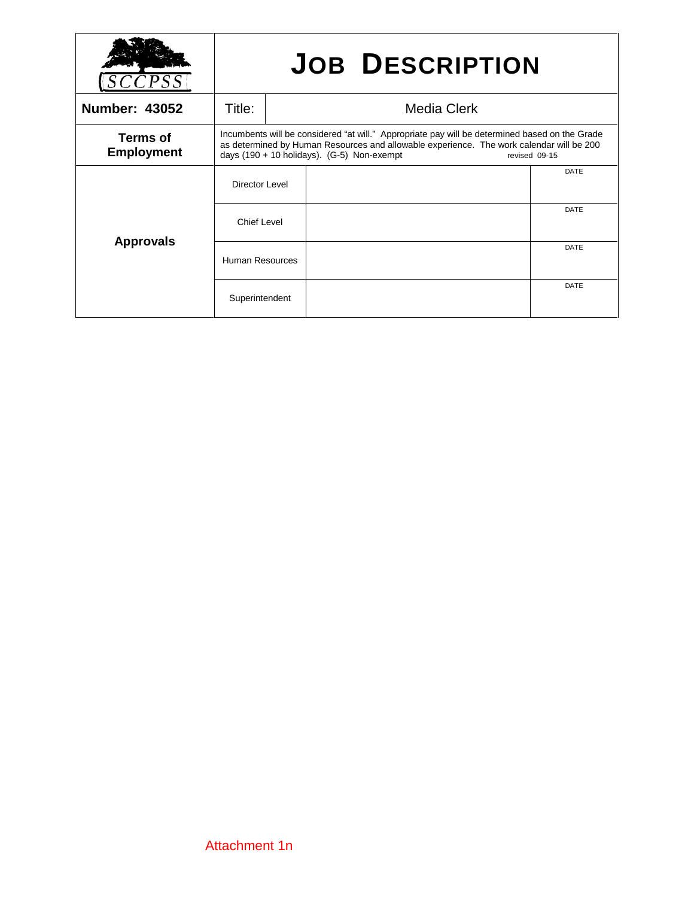|                               | <b>JOB DESCRIPTION</b>                                                                                                                                                                                                                                        |  |  |             |
|-------------------------------|---------------------------------------------------------------------------------------------------------------------------------------------------------------------------------------------------------------------------------------------------------------|--|--|-------------|
| <b>Number: 43052</b>          | Title:<br>Media Clerk                                                                                                                                                                                                                                         |  |  |             |
| Terms of<br><b>Employment</b> | Incumbents will be considered "at will." Appropriate pay will be determined based on the Grade<br>as determined by Human Resources and allowable experience. The work calendar will be 200<br>days $(190 + 10$ holidays). $(G-5)$ Non-exempt<br>revised 09-15 |  |  |             |
| <b>Approvals</b>              | Director Level                                                                                                                                                                                                                                                |  |  | DATE        |
|                               | Chief Level                                                                                                                                                                                                                                                   |  |  | <b>DATE</b> |
|                               | <b>Human Resources</b>                                                                                                                                                                                                                                        |  |  | DATE        |
|                               | Superintendent                                                                                                                                                                                                                                                |  |  | DATE        |